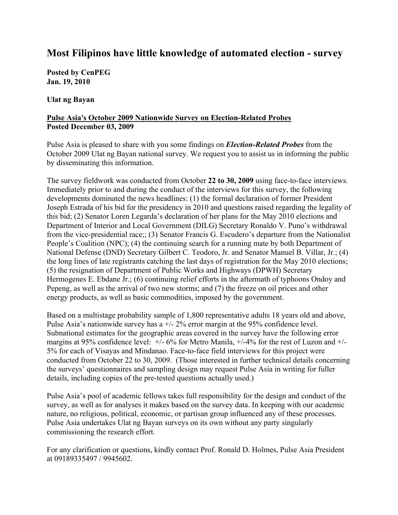# **Most Filipinos have little knowledge of automated election - survey**

**Posted by CenPEG Jan. 19, 2010** 

**Ulat ng Bayan** 

## **Pulse Asia's October 2009 Nationwide Survey on Election-Related Probes Posted December 03, 2009**

Pulse Asia is pleased to share with you some findings on *Election-Related Probes* from the October 2009 Ulat ng Bayan national survey. We request you to assist us in informing the public by disseminating this information.

The survey fieldwork was conducted from October **22 to 30, 2009** using face-to-face interviews. Immediately prior to and during the conduct of the interviews for this survey, the following developments dominated the news headlines: (1) the formal declaration of former President Joseph Estrada of his bid for the presidency in 2010 and questions raised regarding the legality of this bid; (2) Senator Loren Legarda's declaration of her plans for the May 2010 elections and Department of Interior and Local Government (DILG) Secretary Ronaldo V. Puno's withdrawal from the vice-presidential race;; (3) Senator Francis G. Escudero's departure from the Nationalist People's Coalition (NPC); (4) the continuing search for a running mate by both Department of National Defense (DND) Secretary Gilbert C. Teodoro, Jr. and Senator Manuel B. Villar, Jr.; (4) the long lines of late registrants catching the last days of registration for the May 2010 elections; (5) the resignation of Department of Public Works and Highways (DPWH) Secretary Hermogenes E. Ebdane Jr.; (6) continuing relief efforts in the aftermath of typhoons Ondoy and Pepeng, as well as the arrival of two new storms; and (7) the freeze on oil prices and other energy products, as well as basic commodities, imposed by the government.

Based on a multistage probability sample of 1,800 representative adults 18 years old and above, Pulse Asia's nationwide survey has a +/- 2% error margin at the 95% confidence level. Subnational estimates for the geographic areas covered in the survey have the following error margins at 95% confidence level:  $+/- 6\%$  for Metro Manila,  $+/- 4\%$  for the rest of Luzon and  $+/-$ 5% for each of Visayas and Mindanao. Face-to-face field interviews for this project were conducted from October 22 to 30, 2009. (Those interested in further technical details concerning the surveys' questionnaires and sampling design may request Pulse Asia in writing for fuller details, including copies of the pre-tested questions actually used.)

Pulse Asia's pool of academic fellows takes full responsibility for the design and conduct of the survey, as well as for analyses it makes based on the survey data. In keeping with our academic nature, no religious, political, economic, or partisan group influenced any of these processes. Pulse Asia undertakes Ulat ng Bayan surveys on its own without any party singularly commissioning the research effort.

For any clarification or questions, kindly contact Prof. Ronald D. Holmes, Pulse Asia President at 09189335497 / 9945602.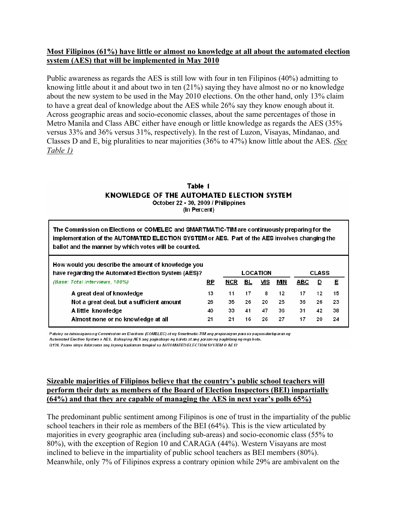### **Most Filipinos (61%) have little or almost no knowledge at all about the automated election system (AES) that will be implemented in May 2010**

Public awareness as regards the AES is still low with four in ten Filipinos (40%) admitting to knowing little about it and about two in ten (21%) saying they have almost no or no knowledge about the new system to be used in the May 2010 elections. On the other hand, only 13% claim to have a great deal of knowledge about the AES while 26% say they know enough about it. Across geographic areas and socio-economic classes, about the same percentages of those in Metro Manila and Class ABC either have enough or little knowledge as regards the AES (35% versus 33% and 36% versus 31%, respectively). In the rest of Luzon, Visayas, Mindanao, and Classes D and E, big pluralities to near majorities (36% to 47%) know little about the AES. *(See Table 1)*

## Table 1 KNOWLEDGE OF THE AUTOMATED ELECTION SYSTEM October 22 - 30, 2009 / Philippines

(In Percent)

| The Commission on Elections or COMELEC and SMARTMATIC-TIM are continuously preparing for the<br>implementation of the AUTOMATED ELECTION SYSTEM or AES. Part of the AES involves changing the<br>ballot and the manner by which votes will be counted. |    |      |                 |     |    |            |              |    |  |  |
|--------------------------------------------------------------------------------------------------------------------------------------------------------------------------------------------------------------------------------------------------------|----|------|-----------------|-----|----|------------|--------------|----|--|--|
| How would you describe the amount of knowledge you<br>have regarding the Automated Election System (AES)?                                                                                                                                              |    |      | <b>LOCATION</b> |     |    |            | <b>CLASS</b> |    |  |  |
| (Base: Total interviews, 100%)                                                                                                                                                                                                                         | RP | NCR. | BL              | VIS | МN | <b>ABC</b> | ₽            | Е  |  |  |
| A great deal of knowledge                                                                                                                                                                                                                              | 13 | 11   | 17              | 8   | 12 | 17         | 12           | 15 |  |  |
| Not a great deal, but a sufficient amount                                                                                                                                                                                                              | 26 | 35   | 26              | 20  | 25 | 36         | 26           | 23 |  |  |
| A little knowledge                                                                                                                                                                                                                                     | 40 | 33   | 41              | 47  | 36 | 31         | 42           | 38 |  |  |
| Almost none or no knowledge at all                                                                                                                                                                                                                     | 21 | 21   | 16              | 26  | 27 | 17         | 20           | 24 |  |  |

Patulov na isinasagawa ng Commission on Elections (COMELEC) at ng Smartmatic-TIM ang preparasyon para sa pagsasakutaparan ng Automated Election System o AES. Bahaging AES ang pagbabago ng balota at ang paraan ng pagbilang ng mga boto.

Q138. Paano ninyo ilalarawan ang inyong kaalaman tungkol sa AUTOMATED ELECTION SYSTEM O AE S?

## **Sizeable majorities of Filipinos believe that the country's public school teachers will perform their duty as members of the Board of Election Inspectors (BEI) impartially (64%) and that they are capable of managing the AES in next year's polls 65%)**

The predominant public sentiment among Filipinos is one of trust in the impartiality of the public school teachers in their role as members of the BEI (64%). This is the view articulated by majorities in every geographic area (including sub-areas) and socio-economic class (55% to 80%), with the exception of Region 10 and CARAGA (44%). Western Visayans are most inclined to believe in the impartiality of public school teachers as BEI members (80%). Meanwhile, only 7% of Filipinos express a contrary opinion while 29% are ambivalent on the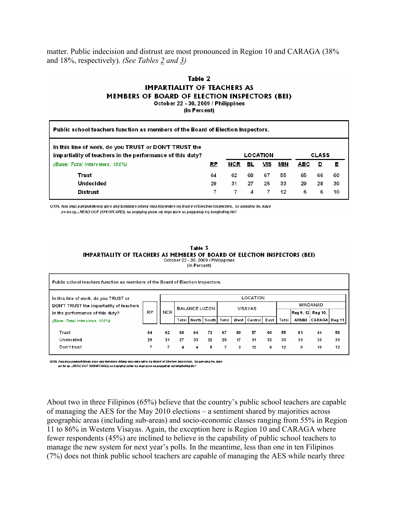matter. Public indecision and distrust are most pronounced in Region 10 and CARAGA (38% and 18%, respectively). *(See Tables 2 and 3)* 

### Table 2 **IMPARTIALITY OF TEACHERS AS** MEMBERS OF BOARD OF ELECTION INSPECTORS (BEI) October 22 - 30, 2009 / Philippines

(In Percent)

| Public school teachers function as members of the Board of Election Inspectors.                                    |    |     |    |          |     |            |              |    |  |  |
|--------------------------------------------------------------------------------------------------------------------|----|-----|----|----------|-----|------------|--------------|----|--|--|
| In this line of work, do you TRUST or DON'T TRUST the<br>impartiality of teachers in the performance of this duty? |    |     |    | LOCATION |     |            | <b>CLASS</b> |    |  |  |
| (Base: Total interviews, 100%)                                                                                     | RP | NCR | вL | VIS      | MIN | <b>ABC</b> | D            | Е  |  |  |
| Trust                                                                                                              | 64 | 62  | 68 | 67       | 55  | 65         | 66           | 60 |  |  |
| Undecided                                                                                                          | 29 | 31  | 27 | 25       | 33  | 29         | 28           | 30 |  |  |
| <b>Distrust</b>                                                                                                    |    |     | 4  |          | 12  | 6          | 6            | 10 |  |  |

Q139. Ang mga pampublikong guro ang tumatayo bilang mga miyembro ng Board of Election Inspectors. Sa gawaing ito, kayo po ba ay...READ OUT (SHOWCARD), sa pagiging patas ng mga guro sa pagganap ng tungkuling ito?

> Table 3 IMPARTIALITY OF TEACHERS AS MEMBERS OF BOARD OF ELECTION INSPECTORS (BEI) October 22 - 30, 2009 / Philippines (In Percent)

| Public school teachers function as members of the Board of Election Inspectors. |    |     |                                                                                      |    |    |    |    |                |      |                   |    |          |    |  |
|---------------------------------------------------------------------------------|----|-----|--------------------------------------------------------------------------------------|----|----|----|----|----------------|------|-------------------|----|----------|----|--|
| In this line of work, do you TRUST or                                           |    |     |                                                                                      |    |    |    |    | LOCATION       |      |                   |    |          |    |  |
| DON'T TRUST the impartiality of teachers                                        |    |     |                                                                                      |    |    |    |    | <b>VISAYAS</b> |      |                   |    | MINDANAO |    |  |
| in the performance of this duty?                                                | RP | NCR | <b>BALANCE LUZON</b><br>West Central<br>East<br>l North I<br>South<br>Total<br>Total |    |    |    |    |                |      | Reg 9, 12 Reg 10, |    |          |    |  |
| (Base: Total interviews, 100%)                                                  |    |     |                                                                                      |    |    |    |    | Total          | ARMM | CARAGA Reg 11     |    |          |    |  |
| Trust                                                                           | 64 | 62  | 68                                                                                   | 64 | 73 | 67 | 80 | 57             | 60   | 55                | 61 | 44       | 58 |  |
| Undecided                                                                       | 29 | 31  | 27                                                                                   | 33 | 22 | 25 | 17 | 31             | 32   | 33                | 31 | 38       | 31 |  |
| Don't trust                                                                     |    |     | 4                                                                                    | 4  | 5  | 7  | 3  | 12             | 8    | 12                | 9  | 18       | 12 |  |

Q139. Ang mga pampublikong guro ang tumatayo bilang mga miyembro ng Board of Election Inspectors. Sa gawaing ito, kayo po ba ay...READ OUT (SHOWCARD), sa pagiging patas ng mga guro sa pagganap ng tungkuling ito?

About two in three Filipinos (65%) believe that the country's public school teachers are capable of managing the AES for the May 2010 elections – a sentiment shared by majorities across geographic areas (including sub-areas) and socio-economic classes ranging from 55% in Region 11 to 86% in Western Visayas. Again, the exception here is Region 10 and CARAGA where fewer respondents (45%) are inclined to believe in the capability of public school teachers to manage the new system for next year's polls. In the meantime, less than one in ten Filipinos (7%) does not think public school teachers are capable of managing the AES while nearly three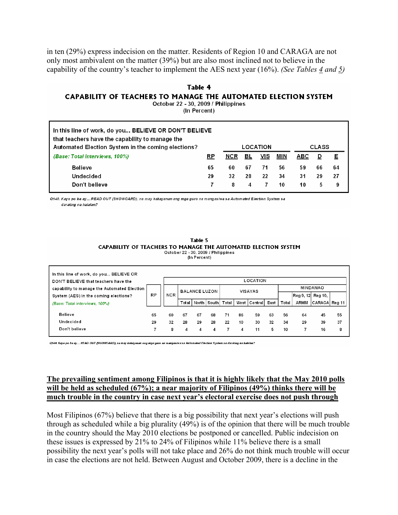in ten (29%) express indecision on the matter. Residents of Region 10 and CARAGA are not only most ambivalent on the matter (39%) but are also most inclined not to believe in the capability of the country's teacher to implement the AES next year (16%). *(See Tables 4 and 5)* 

### **Table 4 CAPABILITY OF TEACHERS TO MANAGE THE AUTOMATED ELECTION SYSTEM** October 22 - 30, 2009 / Philippines

(In Percent)

| In this line of work, do you BELIEVE OR DON'T BELIEVE<br>that teachers have the capability to manage the |    |     |    |     |     |     |    |    |  |  |
|----------------------------------------------------------------------------------------------------------|----|-----|----|-----|-----|-----|----|----|--|--|
| Automated Election System in the coming elections?<br><b>CLASS</b><br>LOCATION                           |    |     |    |     |     |     |    |    |  |  |
| (Base: Total interviews, 100%)                                                                           | RP | NCR | BL | VIS | MIN | ABC |    | Е  |  |  |
| <b>Believe</b>                                                                                           | 65 | 60  | 67 | 71  | 56  | 59  | 66 | 64 |  |  |
| Undecided                                                                                                | 29 | 32  | 28 | 22  | 34  | 31  | 29 | 27 |  |  |
| Don't believe                                                                                            |    | 8   | 4  |     | 10  | 10  | 5  | 9  |  |  |

Q140. Kayo po ba ay... READ OUT (SHOWCARD), na may kakayanan ang mga guro na mangasiwa sa Automated Election System sa darating na halalan?

#### Table 5 CAPABILITY OF TEACHERS TO MANAGE THE AUTOMATED ELECTION SYSTEM October 22 - 30, 2009 / Philippines

(In Percent)

| In this line of work, do you BELIEVE OR<br>LOCATION<br>DON'T BELIEVE that teachers have the |           |            |                      |    |             |       |    |                |      |       |                                     |               |    |
|---------------------------------------------------------------------------------------------|-----------|------------|----------------------|----|-------------|-------|----|----------------|------|-------|-------------------------------------|---------------|----|
| capability to manage the Automated Election<br>System (AES) in the coming elections?        | <b>RP</b> | <b>NCR</b> | <b>BALANCE LUZON</b> |    |             |       |    | <b>VISAYAS</b> |      |       | <b>MINDANAO</b><br>Reg 9, 12 Reg 10 |               |    |
| (Base: Total interviews, 100%)                                                              |           |            | Total                |    | North South | Total |    | West Central   | East | Total | <b>ARMM</b>                         | CARAGA Reg 11 |    |
| Believe                                                                                     | 65        | 60         | 67                   | 67 | 68          | 71    | 86 | 59             | 63   | 56    | 64                                  | 45            | 55 |
| Undecided                                                                                   | 29        | 32         | 28                   | 29 | 28          | 22    | 10 | 30             | 32   | 34    | 29                                  | 39            | 37 |
| Don't believe                                                                               |           | 8          | 4                    | 4  | Δ           |       | 4  | 11             | 5    | 10    |                                     | 16            | 8  |

Q140. Kayo po ba ay... READ OUT (SHOWCARD), na may kakayanan ang mga guro na mangasiwa sa Automated Election System sa darating na halalan?

### **The prevailing sentiment among Filipinos is that it is highly likely that the May 2010 polls will be held as scheduled (67%); a near majority of Filipinos (49%) thinks there will be much trouble in the country in case next year's electoral exercise does not push through**

Most Filipinos (67%) believe that there is a big possibility that next year's elections will push through as scheduled while a big plurality (49%) is of the opinion that there will be much trouble in the country should the May 2010 elections be postponed or cancelled. Public indecision on these issues is expressed by 21% to 24% of Filipinos while 11% believe there is a small possibility the next year's polls will not take place and 26% do not think much trouble will occur in case the elections are not held. Between August and October 2009, there is a decline in the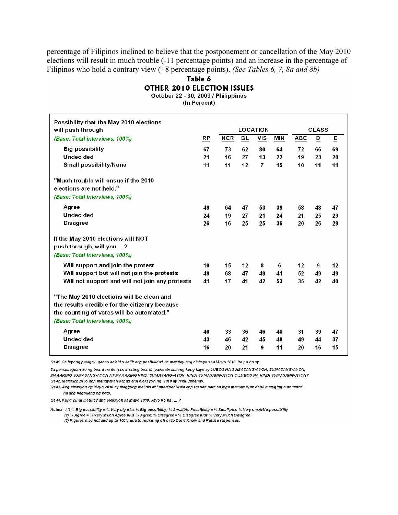percentage of Filipinos inclined to believe that the postponement or cancellation of the May 2010 elections will result in much trouble (-11 percentage points) and an increase in the percentage of Filipinos who hold a contrary view  $(+8$  percentage points). (See Tables 6, 7, 8a and 8b)

## Table 6 **OTHER 2010 ELECTION ISSUES**

October 22 - 30, 2009 / Philippines (In Percent)

| Possibility that the May 2010 elections                                                                                                                                    |    |            |                |                 |            |            |              |    |
|----------------------------------------------------------------------------------------------------------------------------------------------------------------------------|----|------------|----------------|-----------------|------------|------------|--------------|----|
| will push through                                                                                                                                                          |    |            |                | <b>LOCATION</b> |            |            | <b>CLASS</b> |    |
| (Base: Total interviews, 100%)                                                                                                                                             | RP | <b>NCR</b> | B <sub>L</sub> | <u>VIS</u>      | <b>MIN</b> | <b>ABC</b> | D            | Ε  |
| <b>Big possibility</b>                                                                                                                                                     | 67 | 73         | 62             | 80              | 64         | 72         | 66           | 69 |
| <b>Undecided</b>                                                                                                                                                           | 21 | 16         | 27             | 13              | 22         | 19         | 23           | 20 |
| <b>Small possibility/None</b>                                                                                                                                              | 11 | 11         | 12             | 7               | 15         | 10         | 11           | 11 |
| "Much trouble will ensue if the 2010<br>elections are not held."                                                                                                           |    |            |                |                 |            |            |              |    |
| (Base: Total interviews, 100%)                                                                                                                                             |    |            |                |                 |            |            |              |    |
| Agree                                                                                                                                                                      | 49 | 64         | 47             | 53              | 39         | 58         | 48           | 47 |
| <b>Undecided</b>                                                                                                                                                           | 24 | 19         | 27             | 21              | 24         | 21         | 25           | 23 |
| <b>Disagree</b>                                                                                                                                                            | 26 | 16         | 25             | 25              | 36         | 20         | 26           | 29 |
| If the May 2010 elections will NOT<br>push through, will you ?<br>(Base: Total interviews, 100%)                                                                           |    |            |                |                 |            |            |              |    |
| Will support and join the protest                                                                                                                                          | 10 | 15         | 12             | 8               | 6          | 12         | 9            | 12 |
| Will support but will not join the protests                                                                                                                                | 49 | 68         | 47             | 49              | 41         | 52         | 49           | 49 |
| Will not support and will not join any protests                                                                                                                            | 41 | 17         | 41             | 42              | 53         | 35         | 42           | 40 |
| "The May 2010 elections will be clean and<br>the results credible for the citizenry because<br>the counting of votes will be automated."<br>(Base: Total interviews, 100%) |    |            |                |                 |            |            |              |    |
| Agree                                                                                                                                                                      | 40 | 33         | 36             | 46              | 48         | 31         | 39           | 47 |
| <b>Undecided</b>                                                                                                                                                           | 43 | 46         | 42             | 45              | 40         | 49         | 44           | 37 |
| <b>Disagree</b>                                                                                                                                                            | 16 | 20         | 21             | 9               | 11         | 20         | 16           | 15 |

Q141. Sa inyong palagay, gaano kalaki o kaliit ang posibilidad na matuloy ang eleksyon sa Mayo 2010. Ito po ba ay...

Sa pamamagitan po ng board na ito (show rating board), pakisabi lamang kung kayo ay LUBOS NA SUMASANG-AYON, SUMASANG-AYON, MAAARING SUMASANG-AYON AT MAAARING HINDI SUMASANG-AYON, HINDI SUMASANG-AYON O LUBOS NA HINDI SUMASANG-AYON? Q142. Malaking gulo ang mangyayari kapag ang eleksyon ng 2010 ay hindi ginanap.

Q143. Ang eleksyon ng Mayo 2010 ay magiging malinis at kapanipaniwala ang resulta para sa mga mamamayan dahil magiging automated na ang pagbilang ng boto.

Q144. Kung hindi matuloy ang eleksyon sa Mayo 2010, kayo po ba ....?

Notes: (1)% Big possibility = % Very big plus % Big possibility; % Small/No Possibility = % Small plus % Very small/No possibility (2) % Agree = % Very Much Agree plus % Agree; % Disagree = % Disagree plus % Very Much Disagree (3) Figures may not add up to 100% due to rounding off or to Don't Know and Refuse responses.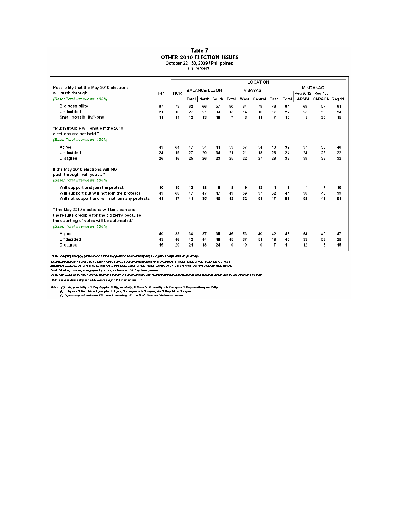### Table 7 **OTHER 2010 ELECTION ISSUES** October 22 - 30, 2009 / Philippines<br>(In Percent)

|                                                                                                                                                                            |                | LOCATION   |    |                       |    |                |    |              |                |       |      |                   |                |
|----------------------------------------------------------------------------------------------------------------------------------------------------------------------------|----------------|------------|----|-----------------------|----|----------------|----|--------------|----------------|-------|------|-------------------|----------------|
| Possibility that the May 2010 elections                                                                                                                                    |                |            |    | <b>BALANCE LUZON</b>  |    |                |    | VISAYAS      |                |       |      | <b>MINDANAO</b>   |                |
| will push through                                                                                                                                                          | <b>RP</b>      | <b>NCR</b> |    |                       |    |                |    |              |                |       |      | Reg 9, 12 Reg 10, |                |
| (Base: Total interviews, 100%)                                                                                                                                             |                |            |    | Total   North   South |    | Total          |    | West Central | East           | Total | ARMM | CARAGA Reg 11     |                |
| Big possibility                                                                                                                                                            | 67             | 73         | 62 | 66                    | 57 | 80             | 84 | 79           | 76             | 64    | 69   | 57                | 6 <sub>1</sub> |
| Undecided                                                                                                                                                                  | 2 <sub>1</sub> | 16         | 27 | 21                    | 33 | 13             | 14 | 10           | 17             | 22    | 23   | 18                | 24             |
| Small possibility/None                                                                                                                                                     | 11             | 11         | 12 | 13                    | 10 | $\overline{7}$ | 3  | 11           | $\overline{7}$ | 15    | 8    | 25                | 15             |
| "Much trouble will ensue if the 2010"<br>elections are not held."<br>(Base: Total interviews, 100%)                                                                        |                |            |    |                       |    |                |    |              |                |       |      |                   |                |
| Agree                                                                                                                                                                      | 49             | 64         | 47 | 54                    | 41 | 53             | 57 | 54           | 43             | 39    | 37   | 38                | 46             |
| Undecided                                                                                                                                                                  | 24             | 19         | 27 | 20                    | 34 | 21             | 21 | 18           | 26             | 24    | 24   | 25                | 22             |
| Disagree                                                                                                                                                                   | 26             | 16         | 25 | 26                    | 23 | 25             | 22 | 27           | 29             | 36    | 39   | 36                | 32             |
| If the May 2010 elections will NOT<br>push through, will you ?<br>(Base: Total interviews, 100%)                                                                           |                |            |    |                       |    |                |    |              |                |       |      |                   |                |
| Will support and join the protest                                                                                                                                          | 10             | 15         | 12 | 18                    | 5  | 8              | 9  | 12           | 1              | 6     | 4    | $\overline{1}$    | 10             |
| Will support but will not join the protests                                                                                                                                | 49             | 68         | 47 | 47                    | 47 | 49             | 59 | 37           | 52             | 41    | 38   | 46                | 39             |
| Will not support and will not join any protests                                                                                                                            | 41             | 17         | 41 | 35                    | 48 | 42             | 32 | 51           | 47             | 53    | 58   | 46                | 51             |
| "The May 2010 elections will be clean and<br>the results credible for the citizenry because<br>the counting of votes will be automated."<br>(Base: Total interviews, 100%) |                |            |    |                       |    |                |    |              |                |       |      |                   |                |
| Agree                                                                                                                                                                      | 40             | 33         | 36 | 37                    | 35 | 46             | 53 | 40           | 42             | 48    | 54   | 40                | 47             |
| Undecided                                                                                                                                                                  | 43             | 46         | 42 | 44                    | 40 | 45             | 37 | 51           | 49             | 40    | 33   | 52                | 38             |
| Disagree                                                                                                                                                                   | 16             | 20         | 21 | 18                    | 24 | 9              | 10 | 9            | $\overline{7}$ | 11    | 12   | 8                 | 15             |

Q141. Sa inyong palagay, gaano kalaki o kaliit ang posibilidad na matuloy ang eleksyon sa Mayo 2010. Ito po ba ay...

uran. Sa inyong pangay, gaano kana o kaik ang posiminao na maunoy ang eleksyon sa vinyo zoru, ko po na ay...<br>Sa pamamagkan po ng board na 10 (show rating board), paka abiamang kuro ay LUBOS NA SUNASANG-AYON, SUNASANG-AYON,

Q144. Kung hindi matuloy ang eleksyon sa Mayo 2010, kayo po ba ... ?

Notes: (1) % Big possibility = % Very big plus % Big possibility; % Small/kb Possibility = % Small plus % Very small/kb possibility<br>(2) % Agree = % Very Mick Agree plus % Agree; % Disagree = % Disagree plus % Very Mick Dis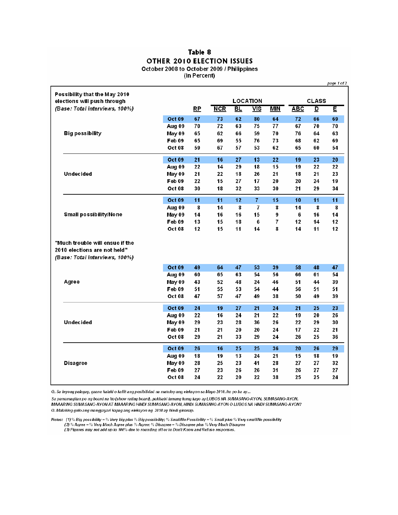### Table 8 OTHER 2010 ELECTION ISSUES October 2008 to October 2009 / Philippines (In Percent)

|                                                                                                   |               |           |     |           |                 |            |            |                         | page 1 of 2 |
|---------------------------------------------------------------------------------------------------|---------------|-----------|-----|-----------|-----------------|------------|------------|-------------------------|-------------|
| Possibility that the May 2010<br>elections will push through                                      |               |           |     |           | <b>LOCATION</b> |            |            | <b>CLASS</b>            |             |
| (Base: Total interviews, 100%)                                                                    |               | <u>RP</u> | NCR | <b>BL</b> | VIS             | <b>MIN</b> | <b>ABC</b> | $\overline{\mathbf{D}}$ | Ε           |
|                                                                                                   | Oct 09        | 67        | 73  | 62        | 80              | 64         | 72         | 66                      | 69          |
|                                                                                                   | Aug 09        | 70        | 72  | 63        | 75              | 77         | 67         | 70                      | 70          |
| <b>Big possibility</b>                                                                            | May 09        | 65        | 62  | 66        | 59              | 70         | 76         | 64                      | 63          |
|                                                                                                   | Feb 09        | 65        | 69  | 55        | 76              | 73         | 68         | 62                      | 69          |
|                                                                                                   | Oct 08        | 59        | 67  | 57        | 53              | 62         | 65         | 60                      | 54          |
|                                                                                                   | Oct 09        | 21        | 16  | 27        | 13              | 22         | 19         | 23                      | 20          |
|                                                                                                   | Aug 09        | 22        | 14  | 29        | 18              | 15         | 19         | 22                      | 22          |
| Undecided                                                                                         | May 09        | 21        | 22  | 18        | 26              | 21         | 18         | 21                      | 23          |
|                                                                                                   | Feb 09        | 22        | 15  | 27        | 17              | 20         | 20         | 24                      | 19          |
|                                                                                                   | Oct 08        | 30        | 18  | 32        | 33              | 30         | 21         | 29                      | 34          |
|                                                                                                   | Oct 09        | 11        | 11  | 12        | $\overline{7}$  | 15         | 10         | 11                      | 11          |
|                                                                                                   | Aug 09        | 8         | 14  | 8         | 7               | 8          | 14         | 8                       | 8           |
| Small possibility/None                                                                            | May 09        | 14        | 16  | 16        | 15              | 9          | 6          | 16                      | 14          |
|                                                                                                   | Feb 09        | 13        | 15  | 18        | 6               | 7          | 12         | 14                      | 12          |
|                                                                                                   | Oct 08        | 12        | 15  | 11        | 14              | 8          | 14         | 11                      | 12          |
| "Much trouble will ensue if the<br>2010 elections are not held"<br>(Base: Total interviews, 100%) |               |           |     |           |                 |            |            |                         |             |
|                                                                                                   | Oct 09        | 49        | 64  | 47        | 53              | 39         | 58         | 48                      | 47          |
|                                                                                                   | Aug 09        | 60        | 65  | 63        | 54              | 56         | 66         | 61                      | 54          |
| Agree                                                                                             | May 09        | 43        | 52  | 48        | 24              | 46         | 51         | 44                      | 39          |
|                                                                                                   | Feb 09        | 51        | 55  | 53        | 54              | 44         | 56         | 51                      | 51          |
|                                                                                                   | Oct 08        | 47        | 57  | 47        | 49              | 38         | 50         | 49                      | 39          |
|                                                                                                   | <b>Oct 09</b> | 24        | 19  | 27        | 21              | 24         | 21         | 25                      | 23          |
|                                                                                                   | Aug 09        | 22        | 16  | 24        | 21              | 22         | 19         | 20                      | 26          |
| Undecided                                                                                         | May 09        | 29        | 23  | 28        | 36              | 26         | 22         | 29                      | 30          |
|                                                                                                   | Feb 09        | 21        | 21  | 20        | 20              | 24         | 17         | 22                      | 21          |
|                                                                                                   | Oct 08        | 29        | 21  | 33        | 29              | 24         | 26         | 25                      | 36          |
|                                                                                                   | Oct 09        | 26        | 16  | 25        | 25              | 36         | 20         | 26                      | 29          |
|                                                                                                   | Aug 09        | 18        | 19  | 13        | 24              | 21         | 15         | 18                      | 19          |
| <b>Disagree</b>                                                                                   | May 09        | 28        | 25  | 23        | 41              | 28         | 27         | 27                      | 32          |
|                                                                                                   | Feb 09        | 27        | 23  | 26        | 26              | 31         | 26         | 27                      | 27          |
|                                                                                                   | Oct 08        | 24        | 22  | 20        | 22              | 38         | 25         | 25                      | 24          |

Q. Sa inyong palagay, gaano kalaki o kaliit ang posibilidad na matuloy ang eleksyon sa Mayo 2010. Ito po ba ay

Sa pamamagitan po ng board na ito (show rating board), pakisabi lamang kung kayo ay LUBOS NA SUMASANG-AYON, SUMASANG-AYON, MAAARING SUMASANG-AYON AT MAAARING HINDI SUMASANG-AYON, HINDI SUMASANG-AYON O LUBOS NA HINDI SUMASANG-AYON? Q. Malaking gulo ang mangyayari kapag ang eleksyon ng 2010 ay hindi ginanap.

Notes: (1)% Big possibility =% Very big plus % Big possibility; % SmallNo Possibility =% Small plus % Very smallNo possibility<br>(2) % Agree =% Very Much Agree plus % Agree; % Disagree = % Disagree plus % Very Much Disagree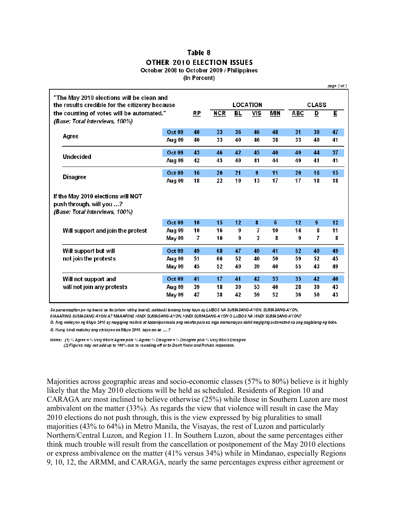### Table 8 OTHER 2010 ELECTION ISSUES October 2008 to October 2009 / Philippines

(In Percent)

 $mna 2o12$ 

|                                                                                                  | "The May 2010 elections will be clean and<br>the results credible for the citizenry because |               |    |            |    | <b>LOCATION</b> |            |     | <b>CLASS</b> |                         |
|--------------------------------------------------------------------------------------------------|---------------------------------------------------------------------------------------------|---------------|----|------------|----|-----------------|------------|-----|--------------|-------------------------|
|                                                                                                  | the counting of votes will be automated."                                                   |               | RP | <b>NCR</b> | BL | VIS             | <b>MIN</b> | ABC | D            | $\overline{\mathsf{E}}$ |
|                                                                                                  | (Base: Total interviews, 100%)                                                              |               |    |            |    |                 |            |     |              |                         |
|                                                                                                  | Agree                                                                                       | <b>Oct 09</b> | 40 | 33         | 36 | 46              | 48         | 31  | 39           | 47                      |
|                                                                                                  |                                                                                             | Aug 09        | 40 | 33         | 40 | 46              | 38         | 33  | 40           | 41                      |
|                                                                                                  | <b>Undecided</b>                                                                            | <b>Oct 09</b> | 43 | 46         | 42 | 45              | 40         | 49  | 44           | 37                      |
|                                                                                                  |                                                                                             | Aug 09        | 42 | 45         | 40 | 41              | 44         | 49  | 41           | 41                      |
|                                                                                                  |                                                                                             | <b>Oct 09</b> | 16 | 20         | 21 | 9               | 11         | 20  | 16           | 15                      |
|                                                                                                  | <b>Disagree</b>                                                                             |               | 18 | 22         | 19 | 13              | 17         | 17  | 18           | 18                      |
| If the May 2010 elections will NOT<br>push through, will you ?<br>(Base: Total interviews, 100%) |                                                                                             |               |    |            |    |                 |            |     |              |                         |
|                                                                                                  |                                                                                             | <b>Oct 09</b> | 10 | 15         | 12 | 8               | 6          | 12  | 9            | 12                      |
|                                                                                                  | Will support and join the protest                                                           | Aug 09        | 10 | 16         | 9  | 7               | 10         | 14  | 8            | 11                      |
|                                                                                                  |                                                                                             | May 09        | 7  | 10         | 9  | $\mathbf{2}$    | 8          | 9   | 7            | 8                       |
|                                                                                                  | Will support but will                                                                       | <b>Oct 09</b> | 49 | 68         | 47 | 49              | 41         | 52  | 49           | 49                      |
|                                                                                                  | not join the protests                                                                       | Aug 09        | 51 | 66         | 52 | 40              | 50         | 59  | 52           | 45                      |
|                                                                                                  |                                                                                             | May 09        | 45 | 52         | 49 | 39              | 40         | 55  | 43           | 49                      |
|                                                                                                  | Will not support and                                                                        | <b>Oct 09</b> | 41 | 17         | 41 | 42              | 53         | 35  | 42           | 40                      |
|                                                                                                  | will not join any protests                                                                  | Aug 09        | 39 | 18         | 39 | 53              | 40         | 28  | 39           | 43                      |
|                                                                                                  |                                                                                             | May 09        | 47 | 38         | 42 | 59              | 52         | 36  | 50           | 43                      |

Sa pamamagitan po ng board na ito (show rating board), pakisabi lamang kung kayo ay LUBOS NA SUMASANG-AYON, SUMASANG-AYON, MAAARING SUMASANG-AYON AT MAAARING HINDI SUMASANG-AYON, HINDI SUMASANG-AYON O LUBOS NA HINDI SUMASANG-AYON?

Q. Ang eleksyon ng Mayo 2010 ay magiging malinis at kapanipaniwala ang resulta para sa mga mamamayan dahil magiging automated na ang pagbilang ng boto. Q. Kung hindi matuloy ang eleksyon sa Mayo 2010, kayo po ba ....?

Notes: (1) % Agree = % Very Much Agree plus % Agree; % Disagree = % Disagree plus % Very Much Disagree (2) Figures may not add up to 100% due to rounding off or to Don't Know and Refuse responses.

Majorities across geographic areas and socio-economic classes (57% to 80%) believe is it highly likely that the May 2010 elections will be held as scheduled. Residents of Region 10 and CARAGA are most inclined to believe otherwise (25%) while those in Southern Luzon are most ambivalent on the matter (33%). As regards the view that violence will result in case the May 2010 elections do not push through, this is the view expressed by big pluralities to small majorities (43% to 64%) in Metro Manila, the Visayas, the rest of Luzon and particularly Northern/Central Luzon, and Region 11. In Southern Luzon, about the same percentages either think much trouble will result from the cancellation or postponement of the May 2010 elections or express ambivalence on the matter (41% versus 34%) while in Mindanao, especially Regions 9, 10, 12, the ARMM, and CARAGA, nearly the same percentages express either agreement or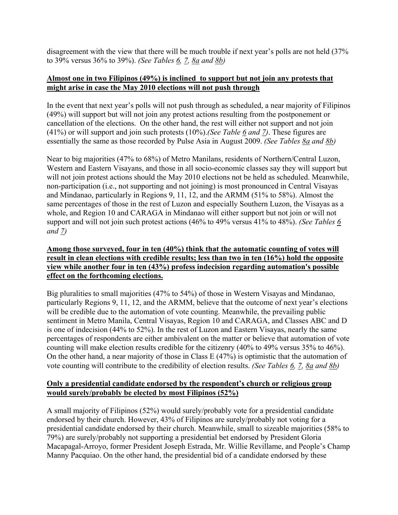disagreement with the view that there will be much trouble if next year's polls are not held (37% to 39% versus 36% to 39%). *(See Tables 6, 7, 8a and 8b)*

### **Almost one in two Filipinos (49%) is inclined to support but not join any protests that might arise in case the May 2010 elections will not push through**

In the event that next year's polls will not push through as scheduled, a near majority of Filipinos (49%) will support but will not join any protest actions resulting from the postponement or cancellation of the elections. On the other hand, the rest will either not support and not join (41%) or will support and join such protests (10%).*(See Table 6 and 7)*. These figures are essentially the same as those recorded by Pulse Asia in August 2009. *(See Tables 8a and 8b)*

Near to big majorities (47% to 68%) of Metro Manilans, residents of Northern/Central Luzon, Western and Eastern Visayans, and those in all socio-economic classes say they will support but will not join protest actions should the May 2010 elections not be held as scheduled. Meanwhile, non-participation (i.e., not supporting and not joining) is most pronounced in Central Visayas and Mindanao, particularly in Regions 9, 11, 12, and the ARMM (51% to 58%). Almost the same percentages of those in the rest of Luzon and especially Southern Luzon, the Visayas as a whole, and Region 10 and CARAGA in Mindanao will either support but not join or will not support and will not join such protest actions (46% to 49% versus 41% to 48%). *(See Tables 6 and 7)*

### **Among those surveyed, four in ten (40%) think that the automatic counting of votes will result in clean elections with credible results; less than two in ten (16%) hold the opposite view while another four in ten (43%) profess indecision regarding automation's possible effect on the forthcoming elections.**

Big pluralities to small majorities (47% to 54%) of those in Western Visayas and Mindanao, particularly Regions 9, 11, 12, and the ARMM, believe that the outcome of next year's elections will be credible due to the automation of vote counting. Meanwhile, the prevailing public sentiment in Metro Manila, Central Visayas, Region 10 and CARAGA, and Classes ABC and D is one of indecision (44% to 52%). In the rest of Luzon and Eastern Visayas, nearly the same percentages of respondents are either ambivalent on the matter or believe that automation of vote counting will make election results credible for the citizenry (40% to 49% versus 35% to 46%). On the other hand, a near majority of those in Class E (47%) is optimistic that the automation of vote counting will contribute to the credibility of election results. *(See Tables 6, 7, 8a and 8b)*

## **Only a presidential candidate endorsed by the respondent's church or religious group would surely/probably be elected by most Filipinos (52%)**

A small majority of Filipinos (52%) would surely/probably vote for a presidential candidate endorsed by their church. However, 43% of Filipinos are surely/probably not voting for a presidential candidate endorsed by their church. Meanwhile, small to sizeable majorities (58% to 79%) are surely/probably not supporting a presidential bet endorsed by President Gloria Macapagal-Arroyo, former President Joseph Estrada, Mr. Willie Revillame, and People's Champ Manny Pacquiao. On the other hand, the presidential bid of a candidate endorsed by these